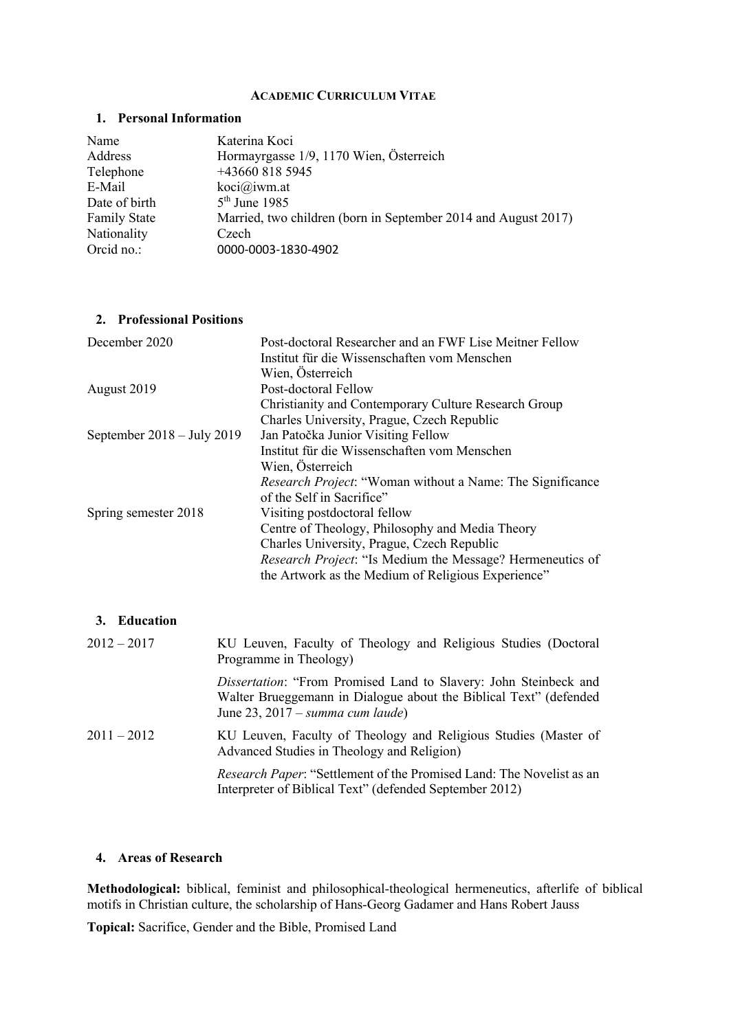#### **ACADEMIC CURRICULUM VITAE**

### **1. Personal Information**

| Name                | Katerina Koci                                                  |
|---------------------|----------------------------------------------------------------|
| Address             | Hormayrgasse 1/9, 1170 Wien, Österreich                        |
| Telephone           | +43660 818 5945                                                |
| E-Mail              | koci@jwm.at                                                    |
| Date of birth       | $5th$ June 1985                                                |
| <b>Family State</b> | Married, two children (born in September 2014 and August 2017) |
| Nationality         | Czech                                                          |
| Orcid no.:          | 0000-0003-1830-4902                                            |

#### **2. Professional Positions**

| December 2020                        | Post-doctoral Researcher and an FWF Lise Meitner Fellow   |
|--------------------------------------|-----------------------------------------------------------|
|                                      | Institut für die Wissenschaften vom Menschen              |
|                                      | Wien, Österreich                                          |
| August 2019                          | Post-doctoral Fellow                                      |
|                                      | Christianity and Contemporary Culture Research Group      |
|                                      | Charles University, Prague, Czech Republic                |
| September $2018 - \text{July } 2019$ | Jan Patočka Junior Visiting Fellow                        |
|                                      | Institut für die Wissenschaften vom Menschen              |
|                                      | Wien, Österreich                                          |
|                                      | Research Project: "Woman without a Name: The Significance |
|                                      | of the Self in Sacrifice"                                 |
| Spring semester 2018                 | Visiting postdoctoral fellow                              |
|                                      | Centre of Theology, Philosophy and Media Theory           |
|                                      | Charles University, Prague, Czech Republic                |
|                                      | Research Project: "Is Medium the Message? Hermeneutics of |
|                                      | the Artwork as the Medium of Religious Experience"        |
|                                      |                                                           |

|               | 3. Education  |                                                                                                                                                                                   |
|---------------|---------------|-----------------------------------------------------------------------------------------------------------------------------------------------------------------------------------|
| $2012 - 2017$ |               | KU Leuven, Faculty of Theology and Religious Studies (Doctoral<br>Programme in Theology)                                                                                          |
|               |               | <i>Dissertation</i> : "From Promised Land to Slavery: John Steinbeck and<br>Walter Brueggemann in Dialogue about the Biblical Text" (defended<br>June 23, 2017 – summa cum laude) |
|               | $2011 - 2012$ | KU Leuven, Faculty of Theology and Religious Studies (Master of<br>Advanced Studies in Theology and Religion)                                                                     |
|               |               | <i>Research Paper</i> : "Settlement of the Promised Land: The Novelist as an<br>Interpreter of Biblical Text" (defended September 2012)                                           |

## **4. Areas of Research**

**Methodological:** biblical, feminist and philosophical-theological hermeneutics, afterlife of biblical motifs in Christian culture, the scholarship of Hans-Georg Gadamer and Hans Robert Jauss

**Topical:** Sacrifice, Gender and the Bible, Promised Land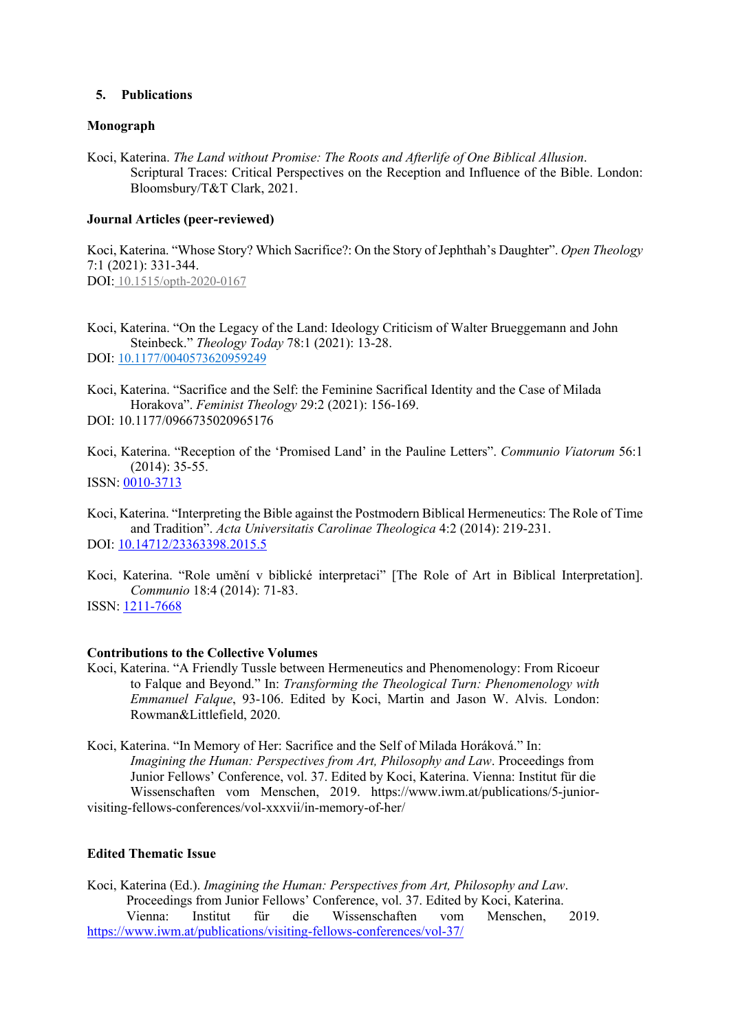#### **5. Publications**

#### **Monograph**

Koci, Katerina. *The Land without Promise: The Roots and Afterlife of One Biblical Allusion*. Scriptural Traces: Critical Perspectives on the Reception and Influence of the Bible. London: Bloomsbury/T&T Clark, 2021.

#### **Journal Articles (peer-reviewed)**

Koci, Katerina. "Whose Story? Which Sacrifice?: On the Story of Jephthah's Daughter". *Open Theology* 7:1 (2021): 331-344. DOI: 10.1515/opth-2020-0167

Koci, Katerina. "On the Legacy of the Land: Ideology Criticism of Walter Brueggemann and John Steinbeck." *Theology Today* 78:1 (2021): 13-28. DOI: 10.1177/0040573620959249

Koci, Katerina. "Sacrifice and the Self: the Feminine Sacrifical Identity and the Case of Milada Horakova". *Feminist Theology* 29:2 (2021): 156-169.

DOI: 10.1177/0966735020965176

Koci, Katerina. "Reception of the 'Promised Land' in the Pauline Letters". *Communio Viatorum* 56:1 (2014): 35-55.

ISSN: 0010-3713

Koci, Katerina. "Interpreting the Bible against the Postmodern Biblical Hermeneutics: The Role of Time and Tradition". *Acta Universitatis Carolinae Theologica* 4:2 (2014): 219-231. DOI: 10.14712/23363398.2015.5

Koci, Katerina. "Role umění v biblické interpretaci" [The Role of Art in Biblical Interpretation]. *Communio* 18:4 (2014): 71-83.

ISSN: 1211-7668

#### **Contributions to the Collective Volumes**

Koci, Katerina. "A Friendly Tussle between Hermeneutics and Phenomenology: From Ricoeur to Falque and Beyond." In: *Transforming the Theological Turn: Phenomenology with Emmanuel Falque*, 93-106. Edited by Koci, Martin and Jason W. Alvis. London: Rowman&Littlefield, 2020.

Koci, Katerina. "In Memory of Her: Sacrifice and the Self of Milada Horáková." In: *Imagining the Human: Perspectives from Art, Philosophy and Law*. Proceedings from Junior Fellows' Conference, vol. 37. Edited by Koci, Katerina. Vienna: Institut für die Wissenschaften vom Menschen, 2019. https://www.iwm.at/publications/5-juniorvisiting-fellows-conferences/vol-xxxvii/in-memory-of-her/

### **Edited Thematic Issue**

Koci, Katerina (Ed.). *Imagining the Human: Perspectives from Art, Philosophy and Law*. Proceedings from Junior Fellows' Conference, vol. 37. Edited by Koci, Katerina. Vienna: Institut für die Wissenschaften vom Menschen, 2019. https://www.iwm.at/publications/visiting-fellows-conferences/vol-37/